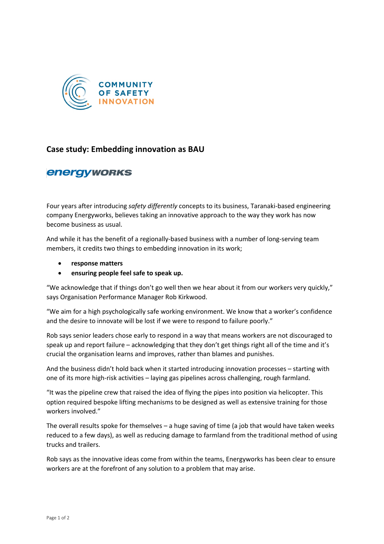

## **Case study: Embedding innovation as BAU**

## **energyworks**

Four years after introducing *safety differently* concepts to its business, Taranaki-based engineering company Energyworks, believes taking an innovative approach to the way they work has now become business as usual.

And while it has the benefit of a regionally-based business with a number of long-serving team members, it credits two things to embedding innovation in its work;

- **response matters**
- **ensuring people feel safe to speak up.**

"We acknowledge that if things don't go well then we hear about it from our workers very quickly," says Organisation Performance Manager Rob Kirkwood.

"We aim for a high psychologically safe working environment. We know that a worker's confidence and the desire to innovate will be lost if we were to respond to failure poorly."

Rob says senior leaders chose early to respond in a way that means workers are not discouraged to speak up and report failure – acknowledging that they don't get things right all of the time and it's crucial the organisation learns and improves, rather than blames and punishes.

And the business didn't hold back when it started introducing innovation processes – starting with one of its more high-risk activities – laying gas pipelines across challenging, rough farmland.

"It was the pipeline crew that raised the idea of flying the pipes into position via helicopter. This option required bespoke lifting mechanisms to be designed as well as extensive training for those workers involved."

The overall results spoke for themselves – a huge saving of time (a job that would have taken weeks reduced to a few days), as well as reducing damage to farmland from the traditional method of using trucks and trailers.

Rob says as the innovative ideas come from within the teams, Energyworks has been clear to ensure workers are at the forefront of any solution to a problem that may arise.